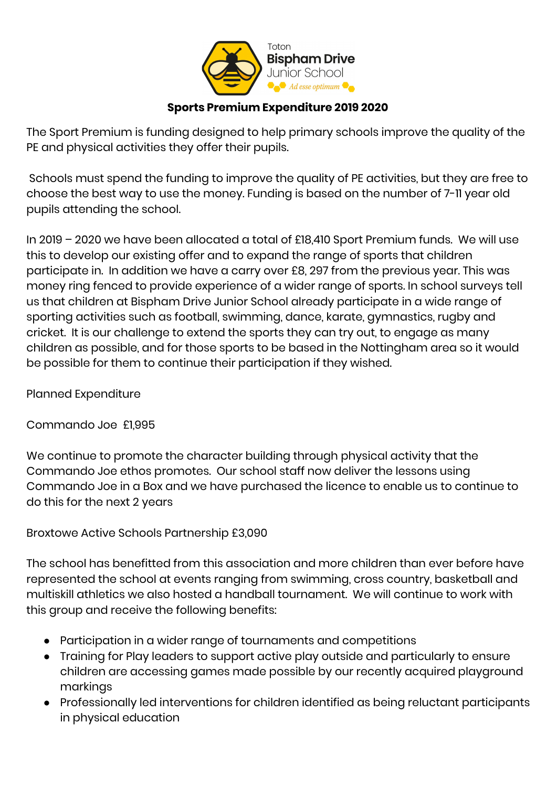

## **Sports Premium Expenditure 2019 2020**

The Sport Premium is funding designed to help primary schools improve the quality of the PE and physical activities they offer their pupils.

Schools must spend the funding to improve the quality of PE activities, but they are free to choose the best way to use the money. Funding is based on the number of 7-11 year old pupils attending the school.

In 2019 – 2020 we have been allocated a total of £18,410 Sport Premium funds. We will use this to develop our existing offer and to expand the range of sports that children participate in. In addition we have a carry over £8, 297 from the previous year. This was money ring fenced to provide experience of a wider range of sports. In school surveys tell us that children at Bispham Drive Junior School already participate in a wide range of sporting activities such as football, swimming, dance, karate, gymnastics, rugby and cricket. It is our challenge to extend the sports they can try out, to engage as many children as possible, and for those sports to be based in the Nottingham area so it would be possible for them to continue their participation if they wished.

Planned Expenditure

Commando Joe £1,995

We continue to promote the character building through physical activity that the Commando Joe ethos promotes. Our school staff now deliver the lessons using Commando Joe in a Box and we have purchased the licence to enable us to continue to do this for the next 2 years

Broxtowe Active Schools Partnership £3,090

The school has benefitted from this association and more children than ever before have represented the school at events ranging from swimming, cross country, basketball and multiskill athletics we also hosted a handball tournament. We will continue to work with this group and receive the following benefits:

- Participation in a wider range of tournaments and competitions
- Training for Play leaders to support active play outside and particularly to ensure children are accessing games made possible by our recently acquired playground markings
- Professionally led interventions for children identified as being reluctant participants in physical education